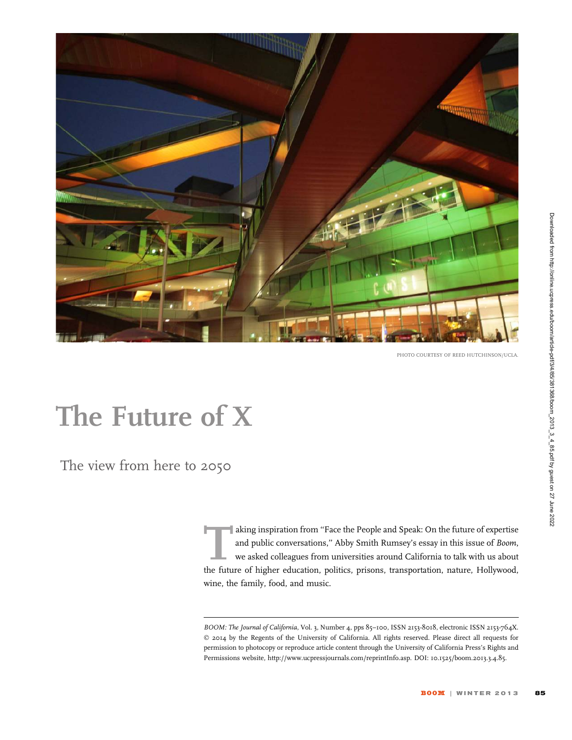

PHOTO COURTESY OF REED HUTCHINSON/UCLA.

# The Future of X

The view from here to 2050

aking inspiration from "Face the People and Speak: On the future of expertise<br>and public conversations," Abby Smith Rumsey's essay in this issue of *Boom*,<br>we asked colleagues from universities around California to talk wi and public conversations,'' Abby Smith Rumsey's essay in this issue of Boom, we asked colleagues from universities around California to talk with us about the future of higher education, politics, prisons, transportation, nature, Hollywood, wine, the family, food, and music.

BOOM: The Journal of California, Vol. 3, Number 4, pps 85-100, ISSN 2153-8018, electronic ISSN 2153-764X. © 2014 by the Regents of the University of California. All rights reserved. Please direct all requests for permission to photocopy or reproduce article content through the University of California Press's Rights and Permissions website, http://www.ucpressjournals.com/reprintInfo.asp. DOI: 10.1525/boom.2013.3.4.85.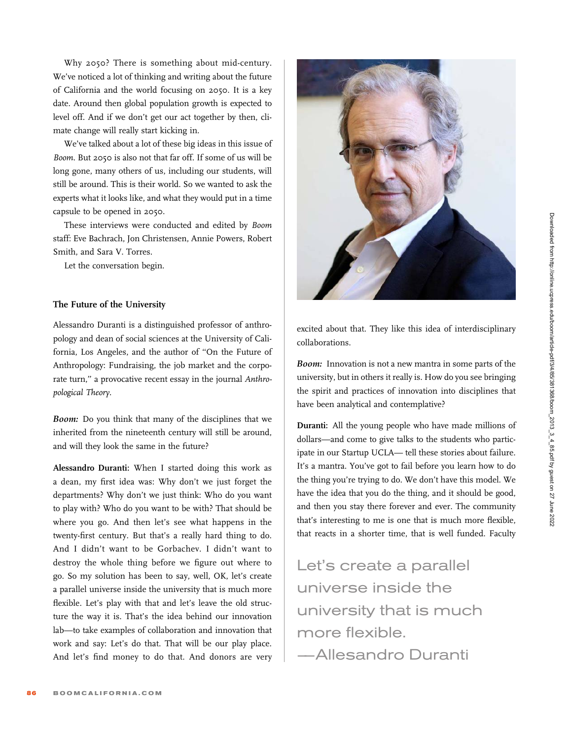Why 2050? There is something about mid-century. We've noticed a lot of thinking and writing about the future of California and the world focusing on 2050. It is a key date. Around then global population growth is expected to level off. And if we don't get our act together by then, climate change will really start kicking in.

We've talked about a lot of these big ideas in this issue of Boom. But 2050 is also not that far off. If some of us will be long gone, many others of us, including our students, will still be around. This is their world. So we wanted to ask the experts what it looks like, and what they would put in a time capsule to be opened in 2050.

These interviews were conducted and edited by Boom staff: Eve Bachrach, Jon Christensen, Annie Powers, Robert Smith, and Sara V. Torres.

Let the conversation begin.

# The Future of the University

Alessandro Duranti is a distinguished professor of anthropology and dean of social sciences at the University of California, Los Angeles, and the author of ''On the Future of Anthropology: Fundraising, the job market and the corporate turn," a provocative recent essay in the journal Anthropological Theory.

Boom: Do you think that many of the disciplines that we inherited from the nineteenth century will still be around, and will they look the same in the future?

Alessandro Duranti: When I started doing this work as a dean, my first idea was: Why don't we just forget the departments? Why don't we just think: Who do you want to play with? Who do you want to be with? That should be where you go. And then let's see what happens in the twenty-first century. But that's a really hard thing to do. And I didn't want to be Gorbachev. I didn't want to destroy the whole thing before we figure out where to go. So my solution has been to say, well, OK, let's create a parallel universe inside the university that is much more flexible. Let's play with that and let's leave the old structure the way it is. That's the idea behind our innovation lab—to take examples of collaboration and innovation that work and say: Let's do that. That will be our play place. And let's find money to do that. And donors are very



excited about that. They like this idea of interdisciplinary collaborations.

Boom: Innovation is not a new mantra in some parts of the university, but in others it really is. How do you see bringing the spirit and practices of innovation into disciplines that have been analytical and contemplative?

Duranti: All the young people who have made millions of dollars—and come to give talks to the students who participate in our Startup UCLA— tell these stories about failure. It's a mantra. You've got to fail before you learn how to do the thing you're trying to do. We don't have this model. We have the idea that you do the thing, and it should be good, and then you stay there forever and ever. The community that's interesting to me is one that is much more flexible, that reacts in a shorter time, that is well funded. Faculty

Let's create a parallel universe inside the university that is much more flexible.

–—Allesandro Duranti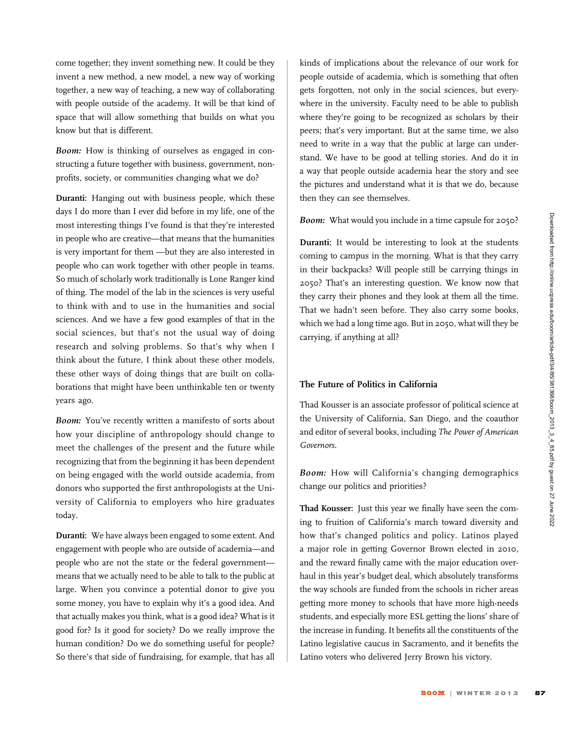come together; they invent something new. It could be they invent a new method, a new model, a new way of working together, a new way of teaching, a new way of collaborating with people outside of the academy. It will be that kind of space that will allow something that builds on what you know but that is different.

Boom: How is thinking of ourselves as engaged in constructing a future together with business, government, nonprofits, society, or communities changing what we do?

Duranti: Hanging out with business people, which these days I do more than I ever did before in my life, one of the most interesting things I've found is that they're interested in people who are creative—that means that the humanities is very important for them —but they are also interested in people who can work together with other people in teams. So much of scholarly work traditionally is Lone Ranger kind of thing. The model of the lab in the sciences is very useful to think with and to use in the humanities and social sciences. And we have a few good examples of that in the social sciences, but that's not the usual way of doing research and solving problems. So that's why when I think about the future, I think about these other models, these other ways of doing things that are built on collaborations that might have been unthinkable ten or twenty years ago.

Boom: You've recently written a manifesto of sorts about how your discipline of anthropology should change to meet the challenges of the present and the future while recognizing that from the beginning it has been dependent on being engaged with the world outside academia, from donors who supported the first anthropologists at the University of California to employers who hire graduates today.

Duranti: We have always been engaged to some extent. And engagement with people who are outside of academia—and people who are not the state or the federal government means that we actually need to be able to talk to the public at large. When you convince a potential donor to give you some money, you have to explain why it's a good idea. And that actually makes you think, what is a good idea? What is it good for? Is it good for society? Do we really improve the human condition? Do we do something useful for people? So there's that side of fundraising, for example, that has all kinds of implications about the relevance of our work for people outside of academia, which is something that often gets forgotten, not only in the social sciences, but everywhere in the university. Faculty need to be able to publish where they're going to be recognized as scholars by their peers; that's very important. But at the same time, we also need to write in a way that the public at large can understand. We have to be good at telling stories. And do it in a way that people outside academia hear the story and see the pictures and understand what it is that we do, because then they can see themselves.

#### Boom: What would you include in a time capsule for 2050?

Duranti: It would be interesting to look at the students coming to campus in the morning. What is that they carry in their backpacks? Will people still be carrying things in 2050? That's an interesting question. We know now that they carry their phones and they look at them all the time. That we hadn't seen before. They also carry some books, which we had a long time ago. But in 2050, what will they be carrying, if anything at all?

# The Future of Politics in California

Thad Kousser is an associate professor of political science at the University of California, San Diego, and the coauthor and editor of several books, including The Power of American Governors.

Boom: How will California's changing demographics change our politics and priorities?

Thad Kousser: Just this year we finally have seen the coming to fruition of California's march toward diversity and how that's changed politics and policy. Latinos played a major role in getting Governor Brown elected in 2010, and the reward finally came with the major education overhaul in this year's budget deal, which absolutely transforms the way schools are funded from the schools in richer areas getting more money to schools that have more high-needs students, and especially more ESL getting the lions' share of the increase in funding. It benefits all the constituents of the Latino legislative caucus in Sacramento, and it benefits the Latino voters who delivered Jerry Brown his victory.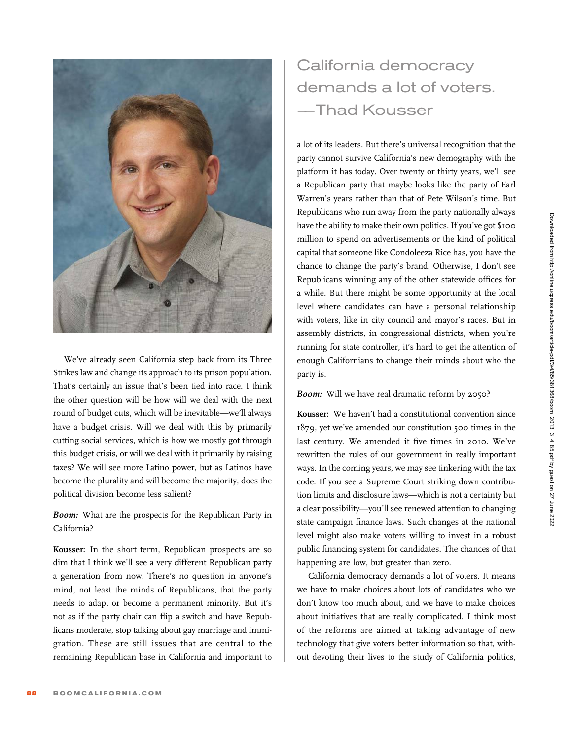

We've already seen California step back from its Three Strikes law and change its approach to its prison population. That's certainly an issue that's been tied into race. I think the other question will be how will we deal with the next round of budget cuts, which will be inevitable—we'll always have a budget crisis. Will we deal with this by primarily cutting social services, which is how we mostly got through this budget crisis, or will we deal with it primarily by raising taxes? We will see more Latino power, but as Latinos have become the plurality and will become the majority, does the political division become less salient?

Boom: What are the prospects for the Republican Party in California?

Kousser: In the short term, Republican prospects are so dim that I think we'll see a very different Republican party a generation from now. There's no question in anyone's mind, not least the minds of Republicans, that the party needs to adapt or become a permanent minority. But it's not as if the party chair can flip a switch and have Republicans moderate, stop talking about gay marriage and immigration. These are still issues that are central to the remaining Republican base in California and important to

# California democracy demands a lot of voters. –—Thad Kousser

a lot of its leaders. But there's universal recognition that the party cannot survive California's new demography with the platform it has today. Over twenty or thirty years, we'll see a Republican party that maybe looks like the party of Earl Warren's years rather than that of Pete Wilson's time. But Republicans who run away from the party nationally always have the ability to make their own politics. If you've got \$100 million to spend on advertisements or the kind of political capital that someone like Condoleeza Rice has, you have the chance to change the party's brand. Otherwise, I don't see Republicans winning any of the other statewide offices for a while. But there might be some opportunity at the local level where candidates can have a personal relationship with voters, like in city council and mayor's races. But in assembly districts, in congressional districts, when you're running for state controller, it's hard to get the attention of enough Californians to change their minds about who the party is.

#### Boom: Will we have real dramatic reform by 2050?

Kousser: We haven't had a constitutional convention since 1879, yet we've amended our constitution 500 times in the last century. We amended it five times in 2010. We've rewritten the rules of our government in really important ways. In the coming years, we may see tinkering with the tax code. If you see a Supreme Court striking down contribution limits and disclosure laws—which is not a certainty but a clear possibility—you'll see renewed attention to changing state campaign finance laws. Such changes at the national level might also make voters willing to invest in a robust public financing system for candidates. The chances of that happening are low, but greater than zero.

California democracy demands a lot of voters. It means we have to make choices about lots of candidates who we don't know too much about, and we have to make choices about initiatives that are really complicated. I think most of the reforms are aimed at taking advantage of new technology that give voters better information so that, without devoting their lives to the study of California politics,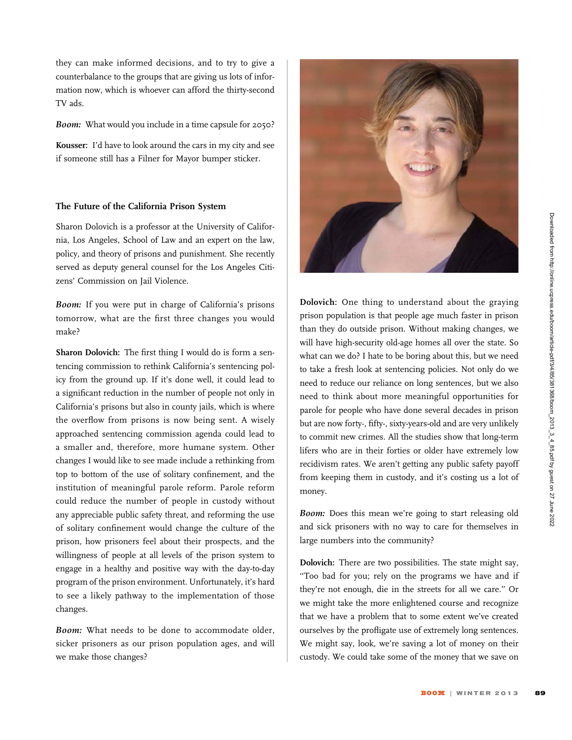Downloaded from http://online.ucpress.edu/boom/article-pdf/3/4/85/381368/boom\_2013\_3\_4\_85.pdf by guest on 27 June 2022

they can make informed decisions, and to try to give a counterbalance to the groups that are giving us lots of information now, which is whoever can afford the thirty-second TV ads.

Boom: What would you include in a time capsule for 2050?

Kousser: I'd have to look around the cars in my city and see if someone still has a Filner for Mayor bumper sticker.

#### The Future of the California Prison System

Sharon Dolovich is a professor at the University of California, Los Angeles, School of Law and an expert on the law, policy, and theory of prisons and punishment. She recently served as deputy general counsel for the Los Angeles Citizens' Commission on Jail Violence.

Boom: If you were put in charge of California's prisons tomorrow, what are the first three changes you would make?

Sharon Dolovich: The first thing I would do is form a sentencing commission to rethink California's sentencing policy from the ground up. If it's done well, it could lead to a significant reduction in the number of people not only in California's prisons but also in county jails, which is where the overflow from prisons is now being sent. A wisely approached sentencing commission agenda could lead to a smaller and, therefore, more humane system. Other changes I would like to see made include a rethinking from top to bottom of the use of solitary confinement, and the institution of meaningful parole reform. Parole reform could reduce the number of people in custody without any appreciable public safety threat, and reforming the use of solitary confinement would change the culture of the prison, how prisoners feel about their prospects, and the willingness of people at all levels of the prison system to engage in a healthy and positive way with the day-to-day program of the prison environment. Unfortunately, it's hard to see a likely pathway to the implementation of those changes.

Boom: What needs to be done to accommodate older, sicker prisoners as our prison population ages, and will we make those changes?



Dolovich: One thing to understand about the graying prison population is that people age much faster in prison than they do outside prison. Without making changes, we will have high-security old-age homes all over the state. So what can we do? I hate to be boring about this, but we need to take a fresh look at sentencing policies. Not only do we need to reduce our reliance on long sentences, but we also need to think about more meaningful opportunities for parole for people who have done several decades in prison but are now forty-, fifty-, sixty-years-old and are very unlikely to commit new crimes. All the studies show that long-term lifers who are in their forties or older have extremely low recidivism rates. We aren't getting any public safety payoff from keeping them in custody, and it's costing us a lot of money.

Boom: Does this mean we're going to start releasing old and sick prisoners with no way to care for themselves in large numbers into the community?

Dolovich: There are two possibilities. The state might say, ''Too bad for you; rely on the programs we have and if they're not enough, die in the streets for all we care.'' Or we might take the more enlightened course and recognize that we have a problem that to some extent we've created ourselves by the profligate use of extremely long sentences. We might say, look, we're saving a lot of money on their custody. We could take some of the money that we save on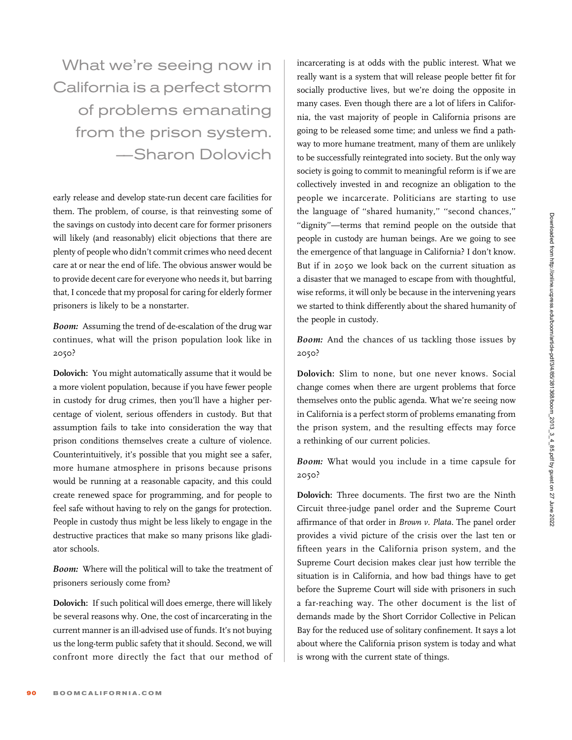What we're seeing now in California is a perfect storm of problems emanating from the prison system. –—Sharon Dolovich

early release and develop state-run decent care facilities for them. The problem, of course, is that reinvesting some of the savings on custody into decent care for former prisoners will likely (and reasonably) elicit objections that there are plenty of people who didn't commit crimes who need decent care at or near the end of life. The obvious answer would be to provide decent care for everyone who needs it, but barring that, I concede that my proposal for caring for elderly former prisoners is likely to be a nonstarter.

Boom: Assuming the trend of de-escalation of the drug war continues, what will the prison population look like in 2050?

Dolovich: You might automatically assume that it would be a more violent population, because if you have fewer people in custody for drug crimes, then you'll have a higher percentage of violent, serious offenders in custody. But that assumption fails to take into consideration the way that prison conditions themselves create a culture of violence. Counterintuitively, it's possible that you might see a safer, more humane atmosphere in prisons because prisons would be running at a reasonable capacity, and this could create renewed space for programming, and for people to feel safe without having to rely on the gangs for protection. People in custody thus might be less likely to engage in the destructive practices that make so many prisons like gladiator schools.

Boom: Where will the political will to take the treatment of prisoners seriously come from?

Dolovich: If such political will does emerge, there will likely be several reasons why. One, the cost of incarcerating in the current manner is an ill-advised use of funds. It's not buying us the long-term public safety that it should. Second, we will confront more directly the fact that our method of incarcerating is at odds with the public interest. What we really want is a system that will release people better fit for socially productive lives, but we're doing the opposite in many cases. Even though there are a lot of lifers in California, the vast majority of people in California prisons are going to be released some time; and unless we find a pathway to more humane treatment, many of them are unlikely to be successfully reintegrated into society. But the only way society is going to commit to meaningful reform is if we are collectively invested in and recognize an obligation to the people we incarcerate. Politicians are starting to use the language of ''shared humanity,'' ''second chances,'' "dignity"—terms that remind people on the outside that people in custody are human beings. Are we going to see the emergence of that language in California? I don't know. But if in 2050 we look back on the current situation as a disaster that we managed to escape from with thoughtful, wise reforms, it will only be because in the intervening years we started to think differently about the shared humanity of the people in custody.

Boom: And the chances of us tackling those issues by 2050?

Dolovich: Slim to none, but one never knows. Social change comes when there are urgent problems that force themselves onto the public agenda. What we're seeing now in California is a perfect storm of problems emanating from the prison system, and the resulting effects may force a rethinking of our current policies.

Boom: What would you include in a time capsule for 2050?

Dolovich: Three documents. The first two are the Ninth Circuit three-judge panel order and the Supreme Court affirmance of that order in Brown v. Plata. The panel order provides a vivid picture of the crisis over the last ten or fifteen years in the California prison system, and the Supreme Court decision makes clear just how terrible the situation is in California, and how bad things have to get before the Supreme Court will side with prisoners in such a far-reaching way. The other document is the list of demands made by the Short Corridor Collective in Pelican Bay for the reduced use of solitary confinement. It says a lot about where the California prison system is today and what is wrong with the current state of things.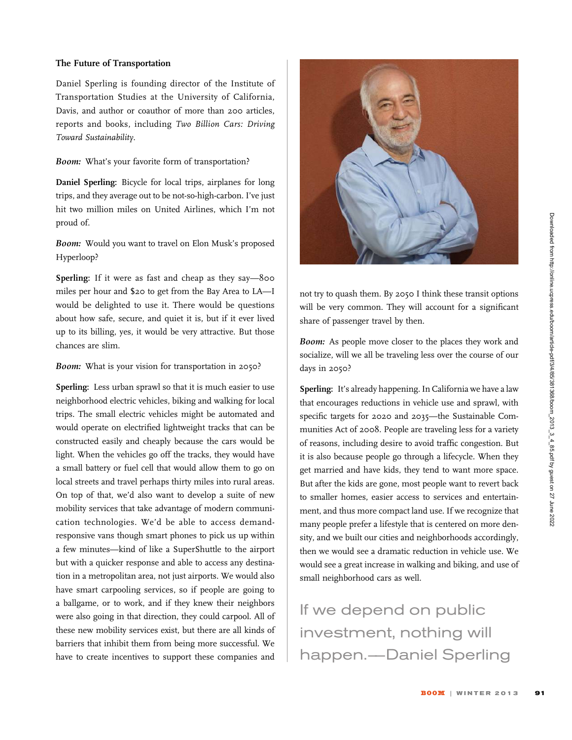# The Future of Transportation

Daniel Sperling is founding director of the Institute of Transportation Studies at the University of California, Davis, and author or coauthor of more than 200 articles, reports and books, including Two Billion Cars: Driving Toward Sustainability.

Boom: What's your favorite form of transportation?

Daniel Sperling: Bicycle for local trips, airplanes for long trips, and they average out to be not-so-high-carbon. I've just hit two million miles on United Airlines, which I'm not proud of.

Boom: Would you want to travel on Elon Musk's proposed Hyperloop?

Sperling: If it were as fast and cheap as they say—800 miles per hour and \$20 to get from the Bay Area to LA—I would be delighted to use it. There would be questions about how safe, secure, and quiet it is, but if it ever lived up to its billing, yes, it would be very attractive. But those chances are slim.

Boom: What is your vision for transportation in 2050?

Sperling: Less urban sprawl so that it is much easier to use neighborhood electric vehicles, biking and walking for local trips. The small electric vehicles might be automated and would operate on electrified lightweight tracks that can be constructed easily and cheaply because the cars would be light. When the vehicles go off the tracks, they would have a small battery or fuel cell that would allow them to go on local streets and travel perhaps thirty miles into rural areas. On top of that, we'd also want to develop a suite of new mobility services that take advantage of modern communication technologies. We'd be able to access demandresponsive vans though smart phones to pick us up within a few minutes—kind of like a SuperShuttle to the airport but with a quicker response and able to access any destination in a metropolitan area, not just airports. We would also have smart carpooling services, so if people are going to a ballgame, or to work, and if they knew their neighbors were also going in that direction, they could carpool. All of these new mobility services exist, but there are all kinds of barriers that inhibit them from being more successful. We have to create incentives to support these companies and



not try to quash them. By 2050 I think these transit options will be very common. They will account for a significant share of passenger travel by then.

Boom: As people move closer to the places they work and socialize, will we all be traveling less over the course of our days in 2050?

Sperling: It's already happening. In California we have a law that encourages reductions in vehicle use and sprawl, with specific targets for 2020 and 2035—the Sustainable Communities Act of 2008. People are traveling less for a variety of reasons, including desire to avoid traffic congestion. But it is also because people go through a lifecycle. When they get married and have kids, they tend to want more space. But after the kids are gone, most people want to revert back to smaller homes, easier access to services and entertainment, and thus more compact land use. If we recognize that many people prefer a lifestyle that is centered on more density, and we built our cities and neighborhoods accordingly, then we would see a dramatic reduction in vehicle use. We would see a great increase in walking and biking, and use of small neighborhood cars as well.

If we depend on public investment, nothing will happen.–—Daniel Sperling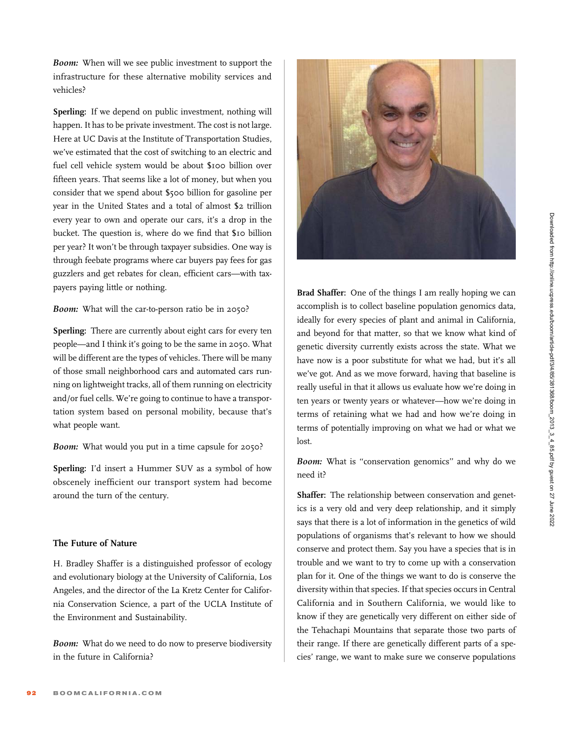**Boom:** When will we see public investment to support the infrastructure for these alternative mobility services and vehicles?

Sperling: If we depend on public investment, nothing will happen. It has to be private investment. The cost is not large. Here at UC Davis at the Institute of Transportation Studies, we've estimated that the cost of switching to an electric and fuel cell vehicle system would be about \$100 billion over fifteen years. That seems like a lot of money, but when you consider that we spend about \$500 billion for gasoline per year in the United States and a total of almost \$2 trillion every year to own and operate our cars, it's a drop in the bucket. The question is, where do we find that \$10 billion per year? It won't be through taxpayer subsidies. One way is through feebate programs where car buyers pay fees for gas guzzlers and get rebates for clean, efficient cars—with taxpayers paying little or nothing.

# Boom: What will the car-to-person ratio be in 2050?

Sperling: There are currently about eight cars for every ten people—and I think it's going to be the same in 2050. What will be different are the types of vehicles. There will be many of those small neighborhood cars and automated cars running on lightweight tracks, all of them running on electricity and/or fuel cells. We're going to continue to have a transportation system based on personal mobility, because that's what people want.

Boom: What would you put in a time capsule for 2050?

Sperling: I'd insert a Hummer SUV as a symbol of how obscenely inefficient our transport system had become around the turn of the century.

# The Future of Nature

H. Bradley Shaffer is a distinguished professor of ecology and evolutionary biology at the University of California, Los Angeles, and the director of the La Kretz Center for California Conservation Science, a part of the UCLA Institute of the Environment and Sustainability.

Boom: What do we need to do now to preserve biodiversity in the future in California?



Brad Shaffer: One of the things I am really hoping we can accomplish is to collect baseline population genomics data, ideally for every species of plant and animal in California, and beyond for that matter, so that we know what kind of genetic diversity currently exists across the state. What we have now is a poor substitute for what we had, but it's all we've got. And as we move forward, having that baseline is really useful in that it allows us evaluate how we're doing in ten years or twenty years or whatever—how we're doing in terms of retaining what we had and how we're doing in terms of potentially improving on what we had or what we lost.

Boom: What is "conservation genomics" and why do we need it?

Shaffer: The relationship between conservation and genetics is a very old and very deep relationship, and it simply says that there is a lot of information in the genetics of wild populations of organisms that's relevant to how we should conserve and protect them. Say you have a species that is in trouble and we want to try to come up with a conservation plan for it. One of the things we want to do is conserve the diversity within that species. If that species occurs in Central California and in Southern California, we would like to know if they are genetically very different on either side of the Tehachapi Mountains that separate those two parts of their range. If there are genetically different parts of a species' range, we want to make sure we conserve populations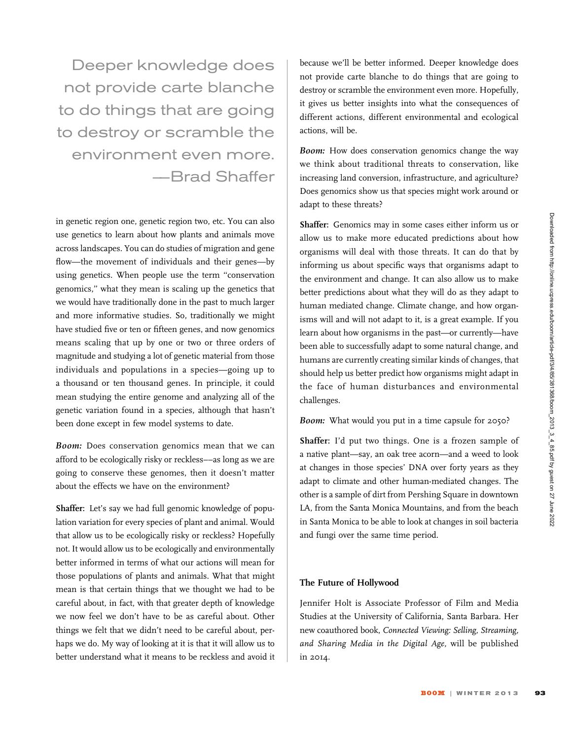Deeper knowledge does not provide carte blanche to do things that are going to destroy or scramble the environment even more. –—Brad Shaffer

in genetic region one, genetic region two, etc. You can also use genetics to learn about how plants and animals move across landscapes. You can do studies of migration and gene flow—the movement of individuals and their genes—by using genetics. When people use the term ''conservation genomics,'' what they mean is scaling up the genetics that we would have traditionally done in the past to much larger and more informative studies. So, traditionally we might have studied five or ten or fifteen genes, and now genomics means scaling that up by one or two or three orders of magnitude and studying a lot of genetic material from those individuals and populations in a species—going up to a thousand or ten thousand genes. In principle, it could mean studying the entire genome and analyzing all of the genetic variation found in a species, although that hasn't been done except in few model systems to date.

Boom: Does conservation genomics mean that we can afford to be ecologically risky or reckless––as long as we are going to conserve these genomes, then it doesn't matter about the effects we have on the environment?

Shaffer: Let's say we had full genomic knowledge of population variation for every species of plant and animal. Would that allow us to be ecologically risky or reckless? Hopefully not. It would allow us to be ecologically and environmentally better informed in terms of what our actions will mean for those populations of plants and animals. What that might mean is that certain things that we thought we had to be careful about, in fact, with that greater depth of knowledge we now feel we don't have to be as careful about. Other things we felt that we didn't need to be careful about, perhaps we do. My way of looking at it is that it will allow us to better understand what it means to be reckless and avoid it because we'll be better informed. Deeper knowledge does not provide carte blanche to do things that are going to destroy or scramble the environment even more. Hopefully, it gives us better insights into what the consequences of different actions, different environmental and ecological actions, will be.

Boom: How does conservation genomics change the way we think about traditional threats to conservation, like increasing land conversion, infrastructure, and agriculture? Does genomics show us that species might work around or adapt to these threats?

Shaffer: Genomics may in some cases either inform us or allow us to make more educated predictions about how organisms will deal with those threats. It can do that by informing us about specific ways that organisms adapt to the environment and change. It can also allow us to make better predictions about what they will do as they adapt to human mediated change. Climate change, and how organisms will and will not adapt to it, is a great example. If you learn about how organisms in the past—or currently—have been able to successfully adapt to some natural change, and humans are currently creating similar kinds of changes, that should help us better predict how organisms might adapt in the face of human disturbances and environmental challenges.

Boom: What would you put in a time capsule for 2050?

Shaffer: I'd put two things. One is a frozen sample of a native plant—say, an oak tree acorn—and a weed to look at changes in those species' DNA over forty years as they adapt to climate and other human-mediated changes. The other is a sample of dirt from Pershing Square in downtown LA, from the Santa Monica Mountains, and from the beach in Santa Monica to be able to look at changes in soil bacteria and fungi over the same time period.

# The Future of Hollywood

Jennifer Holt is Associate Professor of Film and Media Studies at the University of California, Santa Barbara. Her new coauthored book, Connected Viewing: Selling, Streaming, and Sharing Media in the Digital Age, will be published in 2014.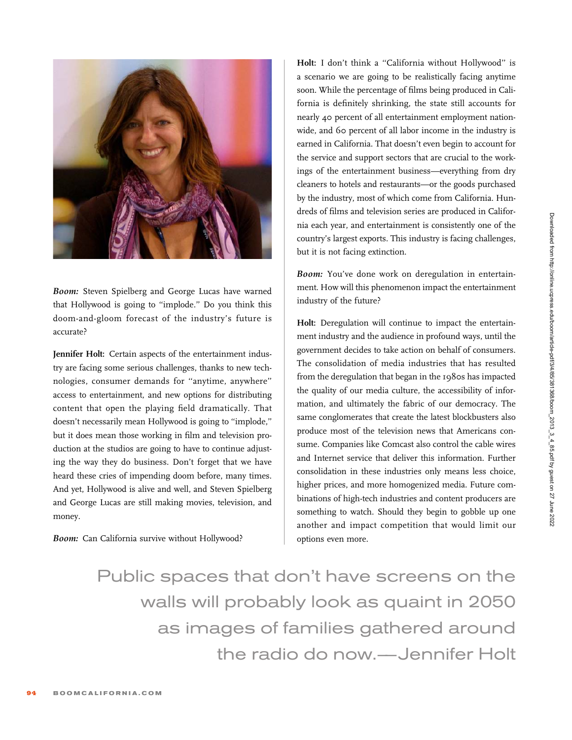

Boom: Steven Spielberg and George Lucas have warned that Hollywood is going to ''implode.'' Do you think this doom-and-gloom forecast of the industry's future is accurate?

Jennifer Holt: Certain aspects of the entertainment industry are facing some serious challenges, thanks to new technologies, consumer demands for ''anytime, anywhere'' access to entertainment, and new options for distributing content that open the playing field dramatically. That doesn't necessarily mean Hollywood is going to ''implode,'' but it does mean those working in film and television production at the studios are going to have to continue adjusting the way they do business. Don't forget that we have heard these cries of impending doom before, many times. And yet, Hollywood is alive and well, and Steven Spielberg and George Lucas are still making movies, television, and money.

Boom: Can California survive without Hollywood?

Holt: I don't think a "California without Hollywood" is a scenario we are going to be realistically facing anytime soon. While the percentage of films being produced in California is definitely shrinking, the state still accounts for nearly 40 percent of all entertainment employment nationwide, and 60 percent of all labor income in the industry is earned in California. That doesn't even begin to account for the service and support sectors that are crucial to the workings of the entertainment business—everything from dry cleaners to hotels and restaurants—or the goods purchased by the industry, most of which come from California. Hundreds of films and television series are produced in California each year, and entertainment is consistently one of the country's largest exports. This industry is facing challenges, but it is not facing extinction.

Boom: You've done work on deregulation in entertainment. How will this phenomenon impact the entertainment industry of the future?

Holt: Deregulation will continue to impact the entertainment industry and the audience in profound ways, until the government decides to take action on behalf of consumers. The consolidation of media industries that has resulted from the deregulation that began in the 1980s has impacted the quality of our media culture, the accessibility of information, and ultimately the fabric of our democracy. The same conglomerates that create the latest blockbusters also produce most of the television news that Americans consume. Companies like Comcast also control the cable wires and Internet service that deliver this information. Further consolidation in these industries only means less choice, higher prices, and more homogenized media. Future combinations of high-tech industries and content producers are something to watch. Should they begin to gobble up one another and impact competition that would limit our options even more.

Public spaces that don't have screens on the walls will probably look as quaint in 2050 as images of families gathered around the radio do now.—Jennifer Holt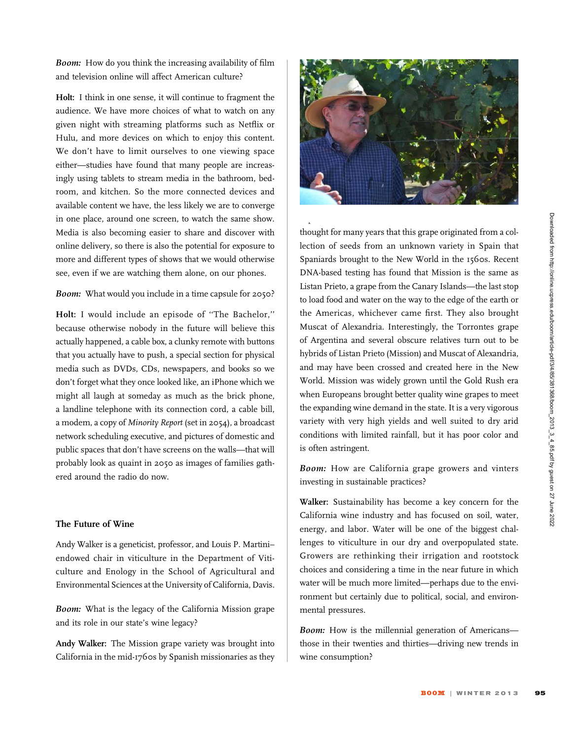Boom: How do you think the increasing availability of film and television online will affect American culture?

Holt: I think in one sense, it will continue to fragment the audience. We have more choices of what to watch on any given night with streaming platforms such as Netflix or Hulu, and more devices on which to enjoy this content. We don't have to limit ourselves to one viewing space either—studies have found that many people are increasingly using tablets to stream media in the bathroom, bedroom, and kitchen. So the more connected devices and available content we have, the less likely we are to converge in one place, around one screen, to watch the same show. Media is also becoming easier to share and discover with online delivery, so there is also the potential for exposure to more and different types of shows that we would otherwise see, even if we are watching them alone, on our phones.

#### Boom: What would you include in a time capsule for 2050?

Holt: I would include an episode of ''The Bachelor,'' because otherwise nobody in the future will believe this actually happened, a cable box, a clunky remote with buttons that you actually have to push, a special section for physical media such as DVDs, CDs, newspapers, and books so we don't forget what they once looked like, an iPhone which we might all laugh at someday as much as the brick phone, a landline telephone with its connection cord, a cable bill, a modem, a copy of Minority Report (set in 2054), a broadcast network scheduling executive, and pictures of domestic and public spaces that don't have screens on the walls—that will probably look as quaint in 2050 as images of families gathered around the radio do now.

#### The Future of Wine

Andy Walker is a geneticist, professor, and Louis P. Martini– endowed chair in viticulture in the Department of Viticulture and Enology in the School of Agricultural and Environmental Sciences at the University of California, Davis.

Boom: What is the legacy of the California Mission grape and its role in our state's wine legacy?

Andy Walker: The Mission grape variety was brought into California in the mid-1760s by Spanish missionaries as they



explored California and established the missions. We

thought for many years that this grape originated from a collection of seeds from an unknown variety in Spain that Spaniards brought to the New World in the 1560s. Recent DNA-based testing has found that Mission is the same as Listan Prieto, a grape from the Canary Islands—the last stop to load food and water on the way to the edge of the earth or the Americas, whichever came first. They also brought Muscat of Alexandria. Interestingly, the Torrontes grape of Argentina and several obscure relatives turn out to be hybrids of Listan Prieto (Mission) and Muscat of Alexandria, and may have been crossed and created here in the New World. Mission was widely grown until the Gold Rush era when Europeans brought better quality wine grapes to meet the expanding wine demand in the state. It is a very vigorous variety with very high yields and well suited to dry arid conditions with limited rainfall, but it has poor color and is often astringent.

Boom: How are California grape growers and vinters investing in sustainable practices?

Walker: Sustainability has become a key concern for the California wine industry and has focused on soil, water, energy, and labor. Water will be one of the biggest challenges to viticulture in our dry and overpopulated state. Growers are rethinking their irrigation and rootstock choices and considering a time in the near future in which water will be much more limited—perhaps due to the environment but certainly due to political, social, and environmental pressures.

Boom: How is the millennial generation of Americans those in their twenties and thirties—driving new trends in wine consumption?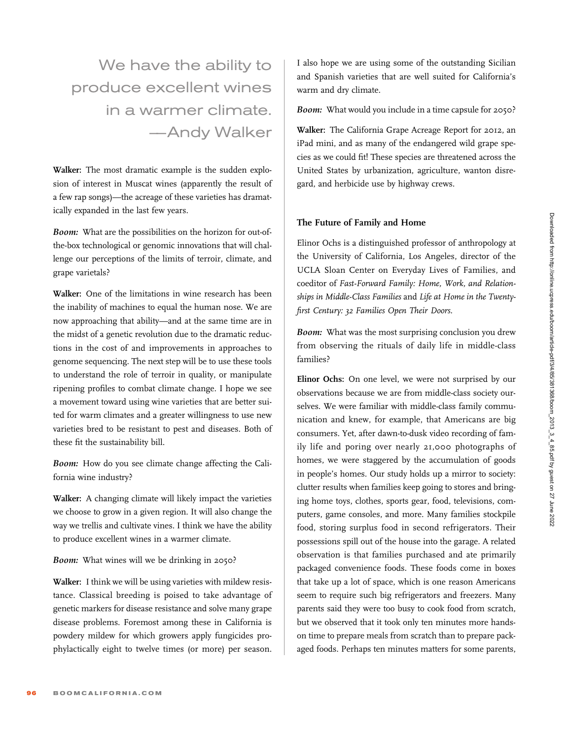We have the ability to produce excellent wines in a warmer climate. –—Andy Walker

Walker: The most dramatic example is the sudden explosion of interest in Muscat wines (apparently the result of a few rap songs)—the acreage of these varieties has dramatically expanded in the last few years.

Boom: What are the possibilities on the horizon for out-ofthe-box technological or genomic innovations that will challenge our perceptions of the limits of terroir, climate, and grape varietals?

Walker: One of the limitations in wine research has been the inability of machines to equal the human nose. We are now approaching that ability—and at the same time are in the midst of a genetic revolution due to the dramatic reductions in the cost of and improvements in approaches to genome sequencing. The next step will be to use these tools to understand the role of terroir in quality, or manipulate ripening profiles to combat climate change. I hope we see a movement toward using wine varieties that are better suited for warm climates and a greater willingness to use new varieties bred to be resistant to pest and diseases. Both of these fit the sustainability bill.

Boom: How do you see climate change affecting the California wine industry?

Walker: A changing climate will likely impact the varieties we choose to grow in a given region. It will also change the way we trellis and cultivate vines. I think we have the ability to produce excellent wines in a warmer climate.

# Boom: What wines will we be drinking in 2050?

Walker: I think we will be using varieties with mildew resistance. Classical breeding is poised to take advantage of genetic markers for disease resistance and solve many grape disease problems. Foremost among these in California is powdery mildew for which growers apply fungicides prophylactically eight to twelve times (or more) per season. I also hope we are using some of the outstanding Sicilian and Spanish varieties that are well suited for California's warm and dry climate.

Boom: What would you include in a time capsule for 2050?

Walker: The California Grape Acreage Report for 2012, an iPad mini, and as many of the endangered wild grape species as we could fit! These species are threatened across the United States by urbanization, agriculture, wanton disregard, and herbicide use by highway crews.

#### The Future of Family and Home

Elinor Ochs is a distinguished professor of anthropology at the University of California, Los Angeles, director of the UCLA Sloan Center on Everyday Lives of Families, and coeditor of Fast-Forward Family: Home, Work, and Relationships in Middle-Class Families and Life at Home in the Twentyfirst Century: 32 Families Open Their Doors.

Boom: What was the most surprising conclusion you drew from observing the rituals of daily life in middle-class families?

Elinor Ochs: On one level, we were not surprised by our observations because we are from middle-class society ourselves. We were familiar with middle-class family communication and knew, for example, that Americans are big consumers. Yet, after dawn-to-dusk video recording of family life and poring over nearly 21,000 photographs of homes, we were staggered by the accumulation of goods in people's homes. Our study holds up a mirror to society: clutter results when families keep going to stores and bringing home toys, clothes, sports gear, food, televisions, computers, game consoles, and more. Many families stockpile food, storing surplus food in second refrigerators. Their possessions spill out of the house into the garage. A related observation is that families purchased and ate primarily packaged convenience foods. These foods come in boxes that take up a lot of space, which is one reason Americans seem to require such big refrigerators and freezers. Many parents said they were too busy to cook food from scratch, but we observed that it took only ten minutes more handson time to prepare meals from scratch than to prepare packaged foods. Perhaps ten minutes matters for some parents,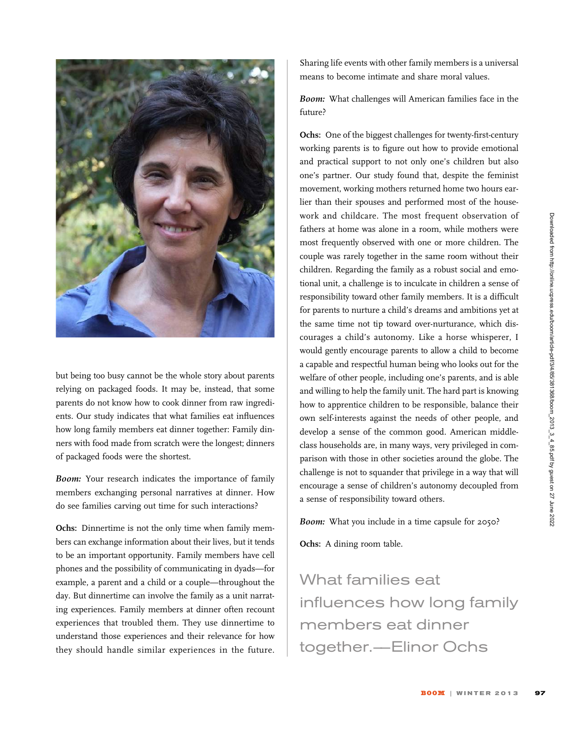

but being too busy cannot be the whole story about parents relying on packaged foods. It may be, instead, that some parents do not know how to cook dinner from raw ingredients. Our study indicates that what families eat influences how long family members eat dinner together: Family dinners with food made from scratch were the longest; dinners of packaged foods were the shortest.

Boom: Your research indicates the importance of family members exchanging personal narratives at dinner. How do see families carving out time for such interactions?

Ochs: Dinnertime is not the only time when family members can exchange information about their lives, but it tends to be an important opportunity. Family members have cell phones and the possibility of communicating in dyads—for example, a parent and a child or a couple—throughout the day. But dinnertime can involve the family as a unit narrating experiences. Family members at dinner often recount experiences that troubled them. They use dinnertime to understand those experiences and their relevance for how they should handle similar experiences in the future.

Sharing life events with other family members is a universal means to become intimate and share moral values.

Boom: What challenges will American families face in the future?

Ochs: One of the biggest challenges for twenty-first-century working parents is to figure out how to provide emotional and practical support to not only one's children but also one's partner. Our study found that, despite the feminist movement, working mothers returned home two hours earlier than their spouses and performed most of the housework and childcare. The most frequent observation of fathers at home was alone in a room, while mothers were most frequently observed with one or more children. The couple was rarely together in the same room without their children. Regarding the family as a robust social and emotional unit, a challenge is to inculcate in children a sense of responsibility toward other family members. It is a difficult for parents to nurture a child's dreams and ambitions yet at the same time not tip toward over-nurturance, which discourages a child's autonomy. Like a horse whisperer, I would gently encourage parents to allow a child to become a capable and respectful human being who looks out for the welfare of other people, including one's parents, and is able and willing to help the family unit. The hard part is knowing how to apprentice children to be responsible, balance their own self-interests against the needs of other people, and develop a sense of the common good. American middleclass households are, in many ways, very privileged in comparison with those in other societies around the globe. The challenge is not to squander that privilege in a way that will encourage a sense of children's autonomy decoupled from a sense of responsibility toward others.

Boom: What you include in a time capsule for 2050?

Ochs: A dining room table.

What families eat influences how long family members eat dinner together.–—Elinor Ochs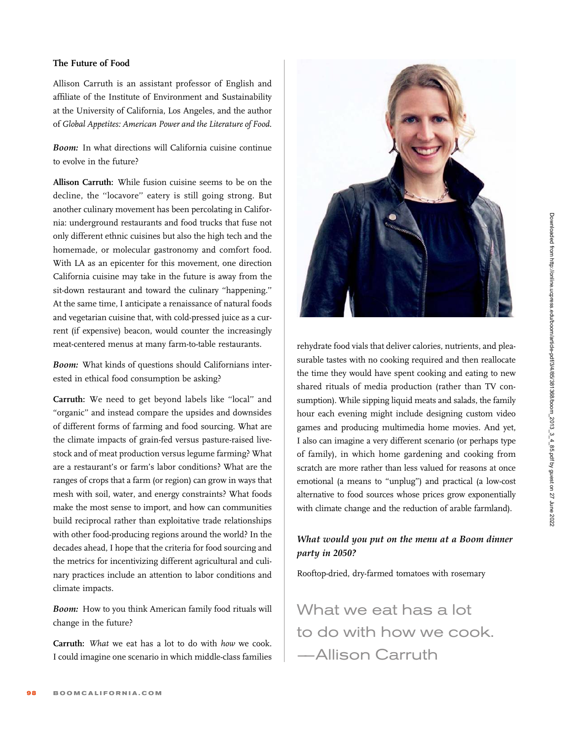# The Future of Food

Allison Carruth is an assistant professor of English and affiliate of the Institute of Environment and Sustainability at the University of California, Los Angeles, and the author of Global Appetites: American Power and the Literature of Food.

Boom: In what directions will California cuisine continue to evolve in the future?

Allison Carruth: While fusion cuisine seems to be on the decline, the ''locavore'' eatery is still going strong. But another culinary movement has been percolating in California: underground restaurants and food trucks that fuse not only different ethnic cuisines but also the high tech and the homemade, or molecular gastronomy and comfort food. With LA as an epicenter for this movement, one direction California cuisine may take in the future is away from the sit-down restaurant and toward the culinary ''happening.'' At the same time, I anticipate a renaissance of natural foods and vegetarian cuisine that, with cold-pressed juice as a current (if expensive) beacon, would counter the increasingly meat-centered menus at many farm-to-table restaurants.

Boom: What kinds of questions should Californians interested in ethical food consumption be asking?

Carruth: We need to get beyond labels like ''local'' and "organic" and instead compare the upsides and downsides of different forms of farming and food sourcing. What are the climate impacts of grain-fed versus pasture-raised livestock and of meat production versus legume farming? What are a restaurant's or farm's labor conditions? What are the ranges of crops that a farm (or region) can grow in ways that mesh with soil, water, and energy constraints? What foods make the most sense to import, and how can communities build reciprocal rather than exploitative trade relationships with other food-producing regions around the world? In the decades ahead, I hope that the criteria for food sourcing and the metrics for incentivizing different agricultural and culinary practices include an attention to labor conditions and climate impacts.

Boom: How to you think American family food rituals will change in the future?

Carruth: What we eat has a lot to do with how we cook. I could imagine one scenario in which middle-class families



rehydrate food vials that deliver calories, nutrients, and pleasurable tastes with no cooking required and then reallocate the time they would have spent cooking and eating to new shared rituals of media production (rather than TV consumption). While sipping liquid meats and salads, the family hour each evening might include designing custom video games and producing multimedia home movies. And yet, I also can imagine a very different scenario (or perhaps type of family), in which home gardening and cooking from scratch are more rather than less valued for reasons at once emotional (a means to ''unplug'') and practical (a low-cost alternative to food sources whose prices grow exponentially with climate change and the reduction of arable farmland).

# What would you put on the menu at a Boom dinner party in 2050?

Rooftop-dried, dry-farmed tomatoes with rosemary

What we eat has a lot to do with how we cook. –—Allison Carruth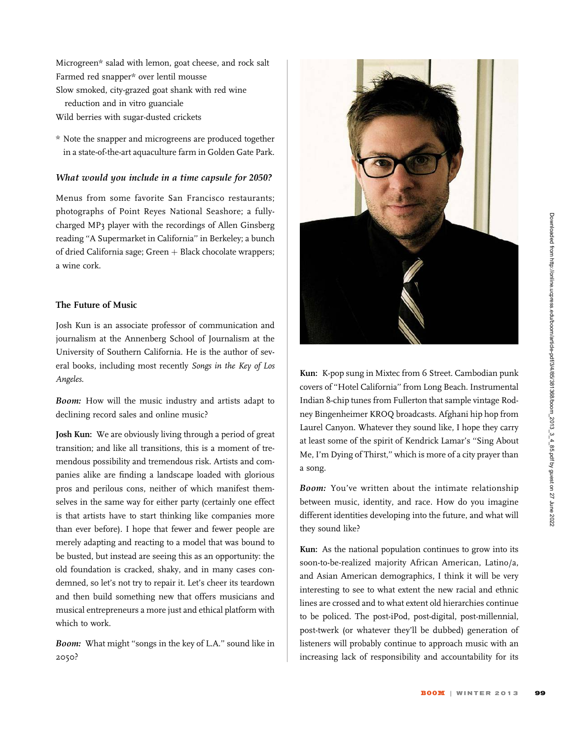Microgreen\* salad with lemon, goat cheese, and rock salt Farmed red snapper\* over lentil mousse

Slow smoked, city-grazed goat shank with red wine reduction and in vitro guanciale

Wild berries with sugar-dusted crickets

\* Note the snapper and microgreens are produced together in a state-of-the-art aquaculture farm in Golden Gate Park.

#### What would you include in a time capsule for 2050?

Menus from some favorite San Francisco restaurants; photographs of Point Reyes National Seashore; a fullycharged MP3 player with the recordings of Allen Ginsberg reading ''A Supermarket in California'' in Berkeley; a bunch of dried California sage; Green  $+$  Black chocolate wrappers; a wine cork.

#### The Future of Music

Josh Kun is an associate professor of communication and journalism at the Annenberg School of Journalism at the University of Southern California. He is the author of several books, including most recently Songs in the Key of Los Angeles.

Boom: How will the music industry and artists adapt to declining record sales and online music?

Josh Kun: We are obviously living through a period of great transition; and like all transitions, this is a moment of tremendous possibility and tremendous risk. Artists and companies alike are finding a landscape loaded with glorious pros and perilous cons, neither of which manifest themselves in the same way for either party (certainly one effect is that artists have to start thinking like companies more than ever before). I hope that fewer and fewer people are merely adapting and reacting to a model that was bound to be busted, but instead are seeing this as an opportunity: the old foundation is cracked, shaky, and in many cases condemned, so let's not try to repair it. Let's cheer its teardown and then build something new that offers musicians and musical entrepreneurs a more just and ethical platform with which to work.

**Boom:** What might "songs in the key of L.A." sound like in 2050?



Kun: K-pop sung in Mixtec from 6 Street. Cambodian punk covers of ''Hotel California'' from Long Beach. Instrumental Indian 8-chip tunes from Fullerton that sample vintage Rodney Bingenheimer KROQ broadcasts. Afghani hip hop from Laurel Canyon. Whatever they sound like, I hope they carry at least some of the spirit of Kendrick Lamar's ''Sing About Me, I'm Dying of Thirst,'' which is more of a city prayer than a song.

Boom: You've written about the intimate relationship between music, identity, and race. How do you imagine different identities developing into the future, and what will they sound like?

Kun: As the national population continues to grow into its soon-to-be-realized majority African American, Latino/a, and Asian American demographics, I think it will be very interesting to see to what extent the new racial and ethnic lines are crossed and to what extent old hierarchies continue to be policed. The post-iPod, post-digital, post-millennial, post-twerk (or whatever they'll be dubbed) generation of listeners will probably continue to approach music with an increasing lack of responsibility and accountability for its